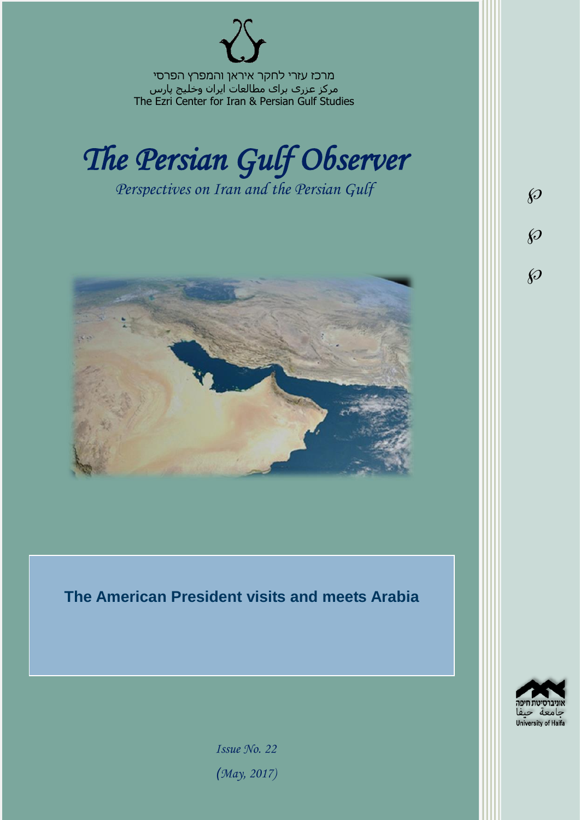מרכז עזרי לחקר איראן והמפרץ הפרסי مرکز عزری برای مطالعات ایران وخلیج پارس The Ezri Center for Iran & Persian Gulf Studies



*Perspectives on Iran and the Persian Gulf* 



**The American President visits and meets Arabia**



 $\wp$ 

 $\wp$ 

 $\wp$ 

*Issue No. 22 )May, 2017)*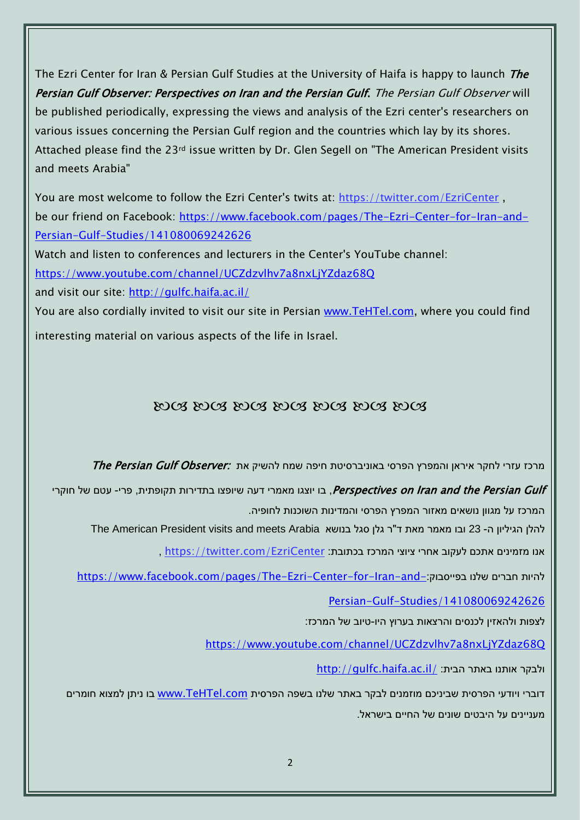The Ezri Center for Iran & Persian Gulf Studies at the University of Haifa is happy to launch *The* Persian Gulf Observer: Perspectives on Iran and the Persian Gulf. The Persian Gulf Observer will be published periodically, expressing the views and analysis of the Ezri center's researchers on various issues concerning the Persian Gulf region and the countries which lay by its shores. Attached please find the 23rd issue written by Dr. Glen Segell on "The American President visits and meets Arabia"

You are most welcome to follow the Ezri Center's twits at: <https://twitter.com/EzriCenter> , be our friend on Facebook: [https://www.facebook.com/pages/The-Ezri-Center-for-Iran-and-](https://www.facebook.com/pages/The-Ezri-Center-for-Iran-and-Persian-Gulf-Studies/141080069242626)[Persian-Gulf-Studies/141080069242626](https://www.facebook.com/pages/The-Ezri-Center-for-Iran-and-Persian-Gulf-Studies/141080069242626)

Watch and listen to conferences and lecturers in the Center's YouTube channel:

<https://www.youtube.com/channel/UCZdzvlhv7a8nxLjYZdaz68Q>

and visit our site:<http://gulfc.haifa.ac.il/>

You are also cordially invited to visit our site in Persian [www.TeHTel.com,](http://www.tehtel.com/) where you could find interesting material on various aspects of the life in Israel.

## DOG DOG DOG DOG DOG DOG DOG

מרכז עזרי לחקר איראן והמפרץ הפרסי באוניברסיטת חיפה שמח להשיק את :The Persian Gulf Observer

Perspectives on Iran and the Persian Gulf , בו יוצגו מאמרי דעה שיופצו בתדירות תקופתית, פרי- עטם של חוקרי המרכז על מגוון נושאים מאזור המפרץ הפרסי והמדינות השוכנות לחופיה.

להלן הגיליון ה- 23 ובו מאמר מאת ד"ר גלן סגל בנושא The American President visits and meets Arabia

אנו מזמינים אתכם לעקוב אחרי ציוצי המרכז בכתובת: [EzriCenter/com.twitter://https](https://twitter.com/EzriCenter) ,

[https://www.facebook.com/pages/The-Ezri-Center-for-Iran-and-](https://www.facebook.com/pages/The-Ezri-Center-for-Iran-and-Persian-Gulf-Studies/141080069242626):כהיות חברים שלנו בפייסבוק

[Persian-Gulf-Studies/141080069242626](https://www.facebook.com/pages/The-Ezri-Center-for-Iran-and-Persian-Gulf-Studies/141080069242626)

לצפות ולהאזין לכנסים והרצאות בערוץ היו-טיוב של המרכז:

<https://www.youtube.com/channel/UCZdzvlhv7a8nxLjYZdaz68Q>

<http://gulfc.haifa.ac.il/> ולבקר אותנו באתר הבית

דוברי ויודעי הפרסית שביניכם מוזמנים לבקר באתר שלנו בשפה הפרסית [com.TeHTel.www](http://www.tehtel.com/) בו ניתן למצוא חומרים מעניינים על היבטים שונים של החיים בישראל.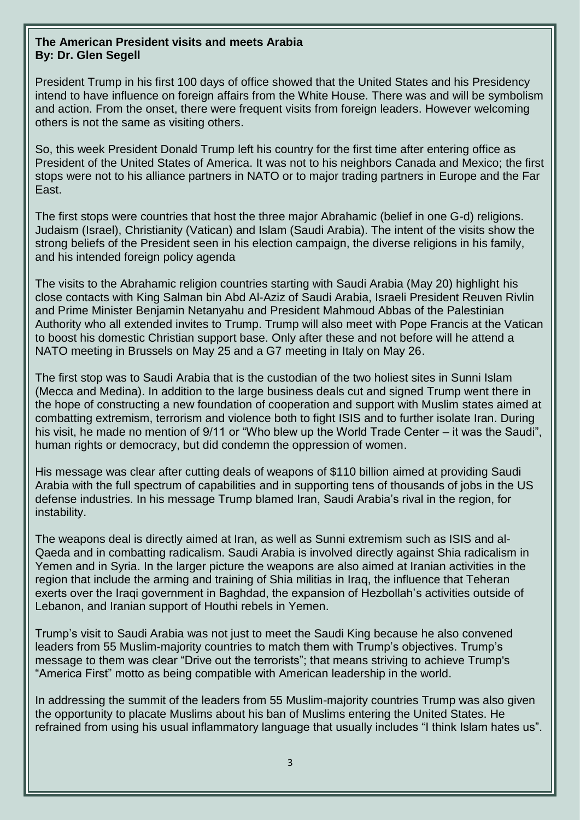## **The American President visits and meets Arabia By: Dr. Glen Segell**

President Trump in his first 100 days of office showed that the United States and his Presidency intend to have influence on foreign affairs from the White House. There was and will be symbolism and action. From the onset, there were frequent visits from foreign leaders. However welcoming others is not the same as visiting others.

So, this week President Donald Trump left his country for the first time after entering office as President of the United States of America. It was not to his neighbors Canada and Mexico; the first stops were not to his alliance partners in NATO or to major trading partners in Europe and the Far East.

The first stops were countries that host the three major Abrahamic (belief in one G-d) religions. Judaism (Israel), Christianity (Vatican) and Islam (Saudi Arabia). The intent of the visits show the strong beliefs of the President seen in his election campaign, the diverse religions in his family, and his intended foreign policy agenda

The visits to the Abrahamic religion countries starting with Saudi Arabia (May 20) highlight his close contacts with King Salman bin Abd Al-Aziz of Saudi Arabia, Israeli President Reuven Rivlin and Prime Minister Benjamin Netanyahu and President Mahmoud Abbas of the Palestinian Authority who all extended invites to Trump. Trump will also meet with Pope Francis at the Vatican to boost his domestic Christian support base. Only after these and not before will he attend a NATO meeting in Brussels on May 25 and a G7 meeting in Italy on May 26.

The first stop was to Saudi Arabia that is the custodian of the two holiest sites in Sunni Islam (Mecca and Medina). In addition to the large business deals cut and signed Trump went there in the hope of constructing a new foundation of cooperation and support with Muslim states aimed at combatting extremism, terrorism and violence both to fight ISIS and to further isolate Iran. During his visit, he made no mention of 9/11 or "Who blew up the World Trade Center – it was the Saudi", human rights or democracy, but did condemn the oppression of women.

His message was clear after cutting deals of weapons of \$110 billion aimed at providing Saudi Arabia with the full spectrum of capabilities and in supporting tens of thousands of jobs in the US defense industries. In his message Trump blamed Iran, Saudi Arabia's rival in the region, for instability.

The weapons deal is directly aimed at Iran, as well as Sunni extremism such as ISIS and al-Qaeda and in combatting radicalism. Saudi Arabia is involved directly against Shia radicalism in Yemen and in Syria. In the larger picture the weapons are also aimed at Iranian activities in the region that include the arming and training of Shia militias in Iraq, the influence that Teheran exerts over the Iraqi government in Baghdad, the expansion of Hezbollah's activities outside of Lebanon, and Iranian support of Houthi rebels in Yemen.

Trump's visit to Saudi Arabia was not just to meet the Saudi King because he also convened leaders from 55 Muslim-majority countries to match them with Trump's objectives. Trump's message to them was clear "Drive out the terrorists"; that means striving to achieve Trump's "America First" motto as being compatible with American leadership in the world.

In addressing the summit of the leaders from 55 Muslim-majority countries Trump was also given the opportunity to placate Muslims about his ban of Muslims entering the United States. He refrained from using his usual inflammatory language that usually includes "I think Islam hates us".